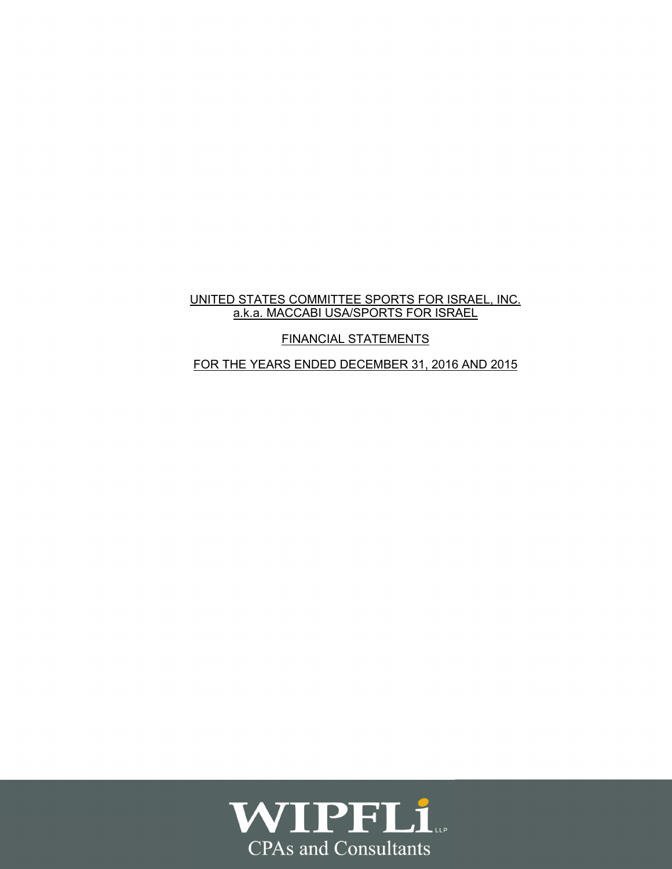# UNITED STATES COMMITTEE SPORTS FOR ISRAEL, INC. a.k.a. MACCABI USA/SPORTS FOR ISRAEL

FINANCIAL STATEMENTS

FOR THE YEARS ENDED DECEMBER 31, 2016 AND 2015

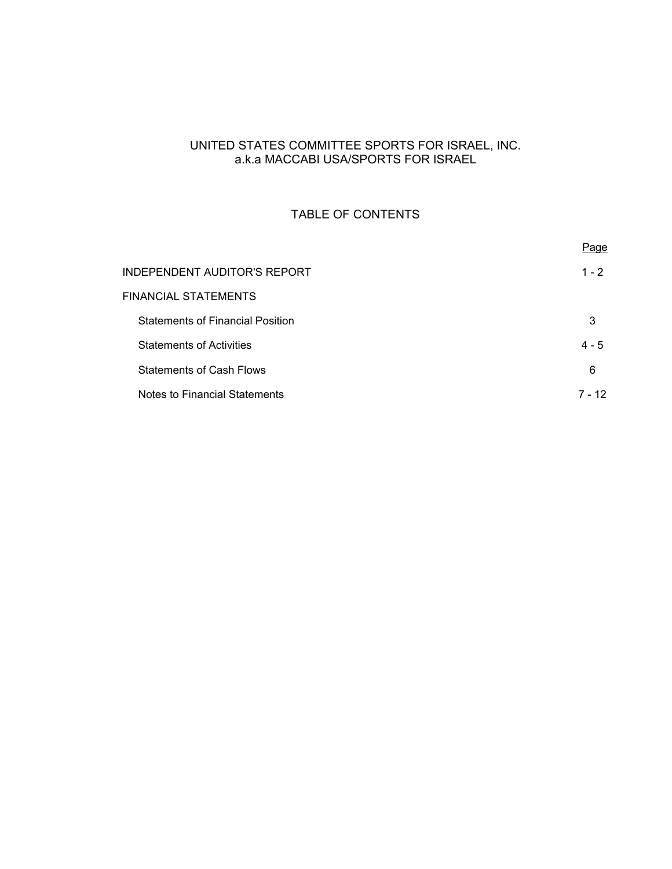# UNITED STATES COMMITTEE SPORTS FOR ISRAEL, INC. a.k.a MACCABI USA/SPORTS FOR ISRAEL

# TABLE OF CONTENTS

|                                         | Page    |
|-----------------------------------------|---------|
| INDEPENDENT AUDITOR'S REPORT            | $1 - 2$ |
| FINANCIAL STATEMENTS                    |         |
| <b>Statements of Financial Position</b> | 3       |
| <b>Statements of Activities</b>         | $4 - 5$ |
| <b>Statements of Cash Flows</b>         | 6       |
| Notes to Financial Statements           | 7 - 12  |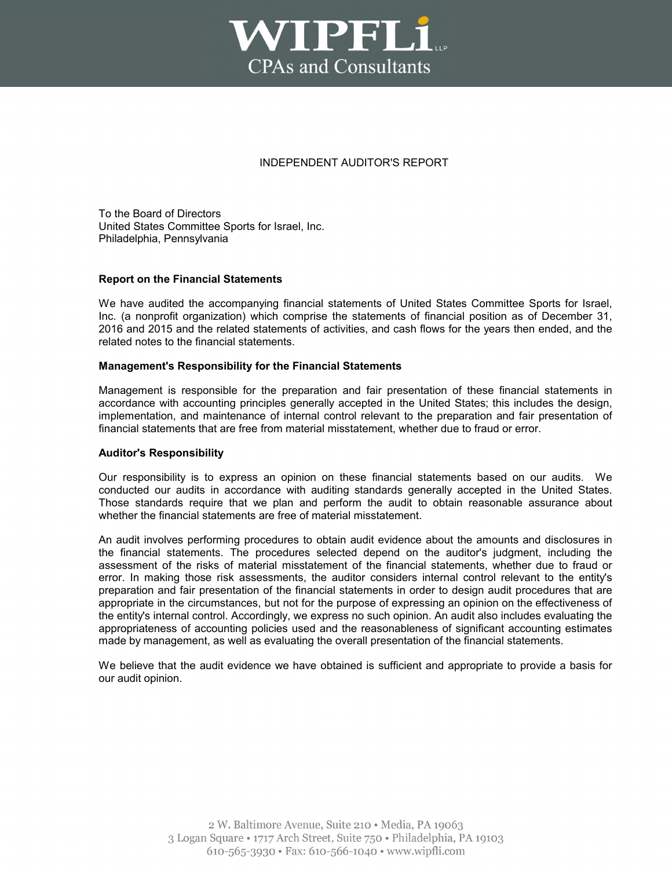

## INDEPENDENT AUDITOR'S REPORT

To the Board of Directors United States Committee Sports for Israel, Inc. Philadelphia, Pennsylvania

### **Report on the Financial Statements**

We have audited the accompanying financial statements of United States Committee Sports for Israel, Inc. (a nonprofit organization) which comprise the statements of financial position as of December 31, 2016 and 2015 and the related statements of activities, and cash flows for the years then ended, and the related notes to the financial statements.

### **Management's Responsibility for the Financial Statements**

Management is responsible for the preparation and fair presentation of these financial statements in accordance with accounting principles generally accepted in the United States; this includes the design, implementation, and maintenance of internal control relevant to the preparation and fair presentation of financial statements that are free from material misstatement, whether due to fraud or error.

#### **Auditor's Responsibility**

Our responsibility is to express an opinion on these financial statements based on our audits. We conducted our audits in accordance with auditing standards generally accepted in the United States. Those standards require that we plan and perform the audit to obtain reasonable assurance about whether the financial statements are free of material misstatement.

An audit involves performing procedures to obtain audit evidence about the amounts and disclosures in the financial statements. The procedures selected depend on the auditor's judgment, including the assessment of the risks of material misstatement of the financial statements, whether due to fraud or error. In making those risk assessments, the auditor considers internal control relevant to the entity's preparation and fair presentation of the financial statements in order to design audit procedures that are appropriate in the circumstances, but not for the purpose of expressing an opinion on the effectiveness of the entity's internal control. Accordingly, we express no such opinion. An audit also includes evaluating the appropriateness of accounting policies used and the reasonableness of significant accounting estimates made by management, as well as evaluating the overall presentation of the financial statements.

We believe that the audit evidence we have obtained is sufficient and appropriate to provide a basis for our audit opinion.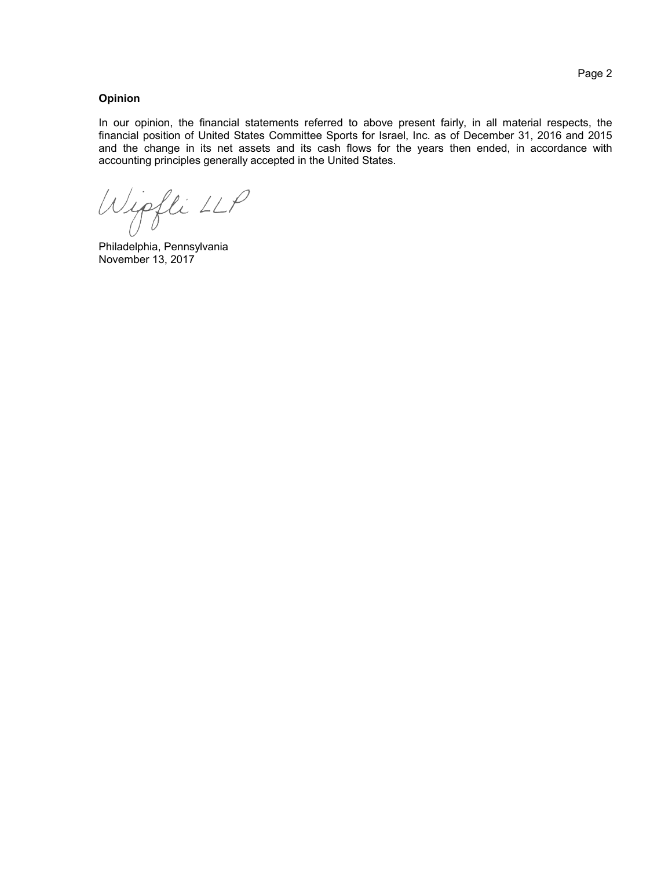## **Opinion**

In our opinion, the financial statements referred to above present fairly, in all material respects, the financial position of United States Committee Sports for Israel, Inc. as of December 31, 2016 and 2015 and the change in its net assets and its cash flows for the years then ended, in accordance with accounting principles generally accepted in the United States.

Wipfli LLP

Philadelphia, Pennsylvania November 13, 2017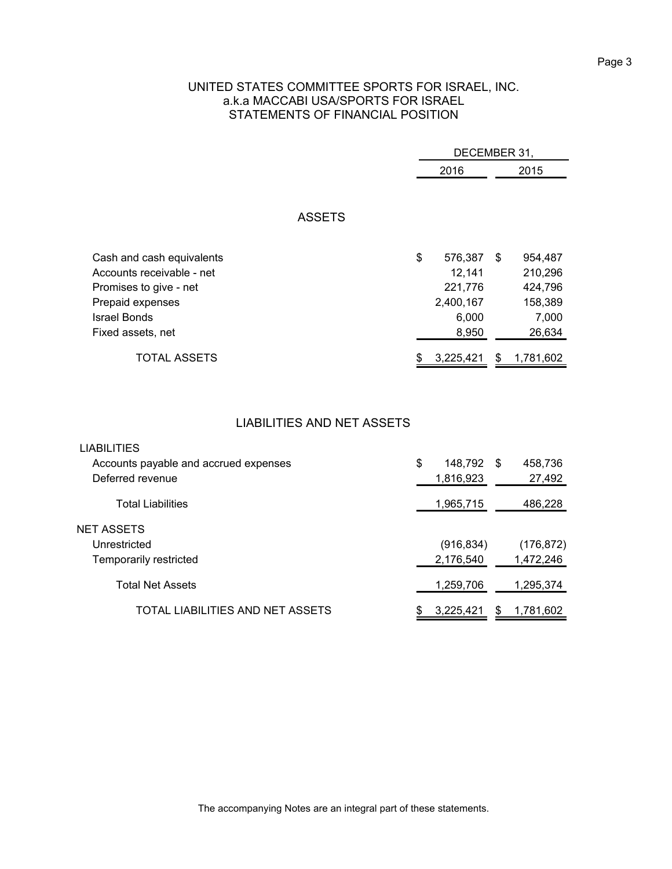# UNITED STATES COMMITTEE SPORTS FOR ISRAEL, INC. a.k.a MACCABI USA/SPORTS FOR ISRAEL STATEMENTS OF FINANCIAL POSITION

|                           | DECEMBER 31,  |      |           |
|---------------------------|---------------|------|-----------|
|                           | 2016          | 2015 |           |
|                           |               |      |           |
|                           |               |      |           |
| <b>ASSETS</b>             |               |      |           |
|                           |               |      |           |
| Cash and cash equivalents | \$<br>576,387 | \$   | 954,487   |
| Accounts receivable - net | 12,141        |      | 210,296   |
| Promises to give - net    | 221,776       |      | 424,796   |
| Prepaid expenses          | 2,400,167     |      | 158,389   |
| <b>Israel Bonds</b>       | 6,000         |      | 7,000     |
| Fixed assets, net         | 8,950         |      | 26,634    |
| <b>TOTAL ASSETS</b>       | 3,225,421     | S    | 1,781,602 |

# LIABILITIES AND NET ASSETS

| <b>LIABILITIES</b>                    |               |      |            |
|---------------------------------------|---------------|------|------------|
| Accounts payable and accrued expenses | \$<br>148,792 | - \$ | 458,736    |
| Deferred revenue                      | 1,816,923     |      | 27,492     |
| <b>Total Liabilities</b>              | 1,965,715     |      | 486,228    |
| <b>NET ASSETS</b>                     |               |      |            |
| Unrestricted                          | (916, 834)    |      | (176, 872) |
| <b>Temporarily restricted</b>         | 2,176,540     |      | 1,472,246  |
| <b>Total Net Assets</b>               | 1,259,706     |      | 1,295,374  |
| TOTAL LIABILITIES AND NET ASSETS      | 3,225,421     | S    | 1,781,602  |

The accompanying Notes are an integral part of these statements.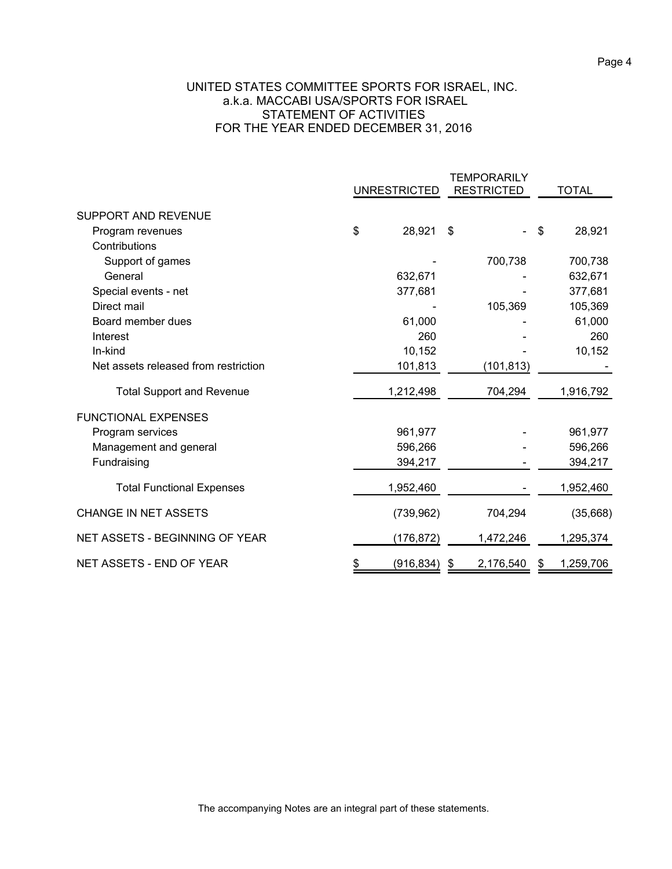# UNITED STATES COMMITTEE SPORTS FOR ISRAEL, INC. a.k.a. MACCABI USA/SPORTS FOR ISRAEL STATEMENT OF ACTIVITIES FOR THE YEAR ENDED DECEMBER 31, 2016

|                                      |                     | TEMPORARILY       |              |
|--------------------------------------|---------------------|-------------------|--------------|
|                                      | <b>UNRESTRICTED</b> | <b>RESTRICTED</b> | <b>TOTAL</b> |
| SUPPORT AND REVENUE                  |                     |                   |              |
| Program revenues                     | \$<br>28,921        | \$                | \$<br>28,921 |
| Contributions                        |                     |                   |              |
| Support of games                     |                     | 700,738           | 700,738      |
| General                              | 632,671             |                   | 632,671      |
| Special events - net                 | 377,681             |                   | 377,681      |
| Direct mail                          |                     | 105,369           | 105,369      |
| Board member dues                    | 61,000              |                   | 61,000       |
| Interest                             | 260                 |                   | 260          |
| In-kind                              | 10,152              |                   | 10,152       |
| Net assets released from restriction | 101,813             | (101, 813)        |              |
| <b>Total Support and Revenue</b>     | 1,212,498           | 704,294           | 1,916,792    |
| <b>FUNCTIONAL EXPENSES</b>           |                     |                   |              |
| Program services                     | 961,977             |                   | 961,977      |
| Management and general               | 596,266             |                   | 596,266      |
| Fundraising                          | 394,217             |                   | 394,217      |
| <b>Total Functional Expenses</b>     | 1,952,460           |                   | 1,952,460    |
| <b>CHANGE IN NET ASSETS</b>          | (739, 962)          | 704,294           | (35,668)     |
| NET ASSETS - BEGINNING OF YEAR       | (176, 872)          | 1,472,246         | 1,295,374    |
| NET ASSETS - END OF YEAR             | (916, 834)          | 2,176,540<br>\$   | 1,259,706    |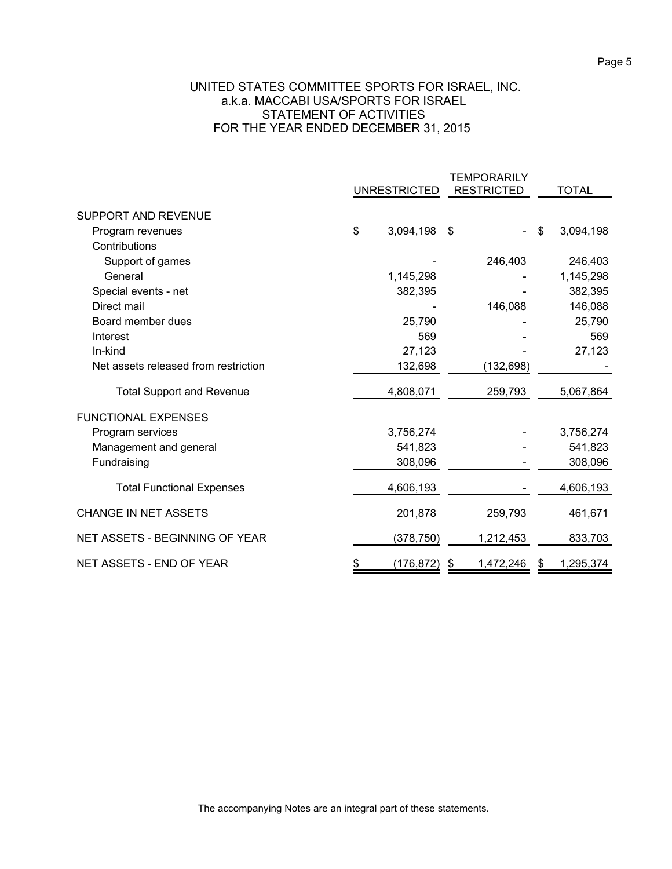# UNITED STATES COMMITTEE SPORTS FOR ISRAEL, INC. a.k.a. MACCABI USA/SPORTS FOR ISRAEL STATEMENT OF ACTIVITIES FOR THE YEAR ENDED DECEMBER 31, 2015

|                                      |                     | TEMPORARILY       |                 |
|--------------------------------------|---------------------|-------------------|-----------------|
|                                      | <b>UNRESTRICTED</b> | <b>RESTRICTED</b> | <b>TOTAL</b>    |
| <b>SUPPORT AND REVENUE</b>           |                     |                   |                 |
| Program revenues                     | \$<br>3,094,198     | \$                | \$<br>3,094,198 |
| Contributions                        |                     |                   |                 |
| Support of games                     |                     | 246,403           | 246,403         |
| General                              | 1,145,298           |                   | 1,145,298       |
| Special events - net                 | 382,395             |                   | 382,395         |
| Direct mail                          |                     | 146,088           | 146,088         |
| Board member dues                    | 25,790              |                   | 25,790          |
| Interest                             | 569                 |                   | 569             |
| In-kind                              | 27,123              |                   | 27,123          |
| Net assets released from restriction | 132,698             | (132, 698)        |                 |
| <b>Total Support and Revenue</b>     | 4,808,071           | 259,793           | 5,067,864       |
| <b>FUNCTIONAL EXPENSES</b>           |                     |                   |                 |
| Program services                     | 3,756,274           |                   | 3,756,274       |
| Management and general               | 541,823             |                   | 541,823         |
| Fundraising                          | 308,096             |                   | 308,096         |
| <b>Total Functional Expenses</b>     | 4,606,193           |                   | 4,606,193       |
| <b>CHANGE IN NET ASSETS</b>          | 201,878             | 259,793           | 461,671         |
| NET ASSETS - BEGINNING OF YEAR       | (378, 750)          | 1,212,453         | 833,703         |
| NET ASSETS - END OF YEAR             | \$<br>(176, 872)    | 1,472,246<br>\$   | 1,295,374       |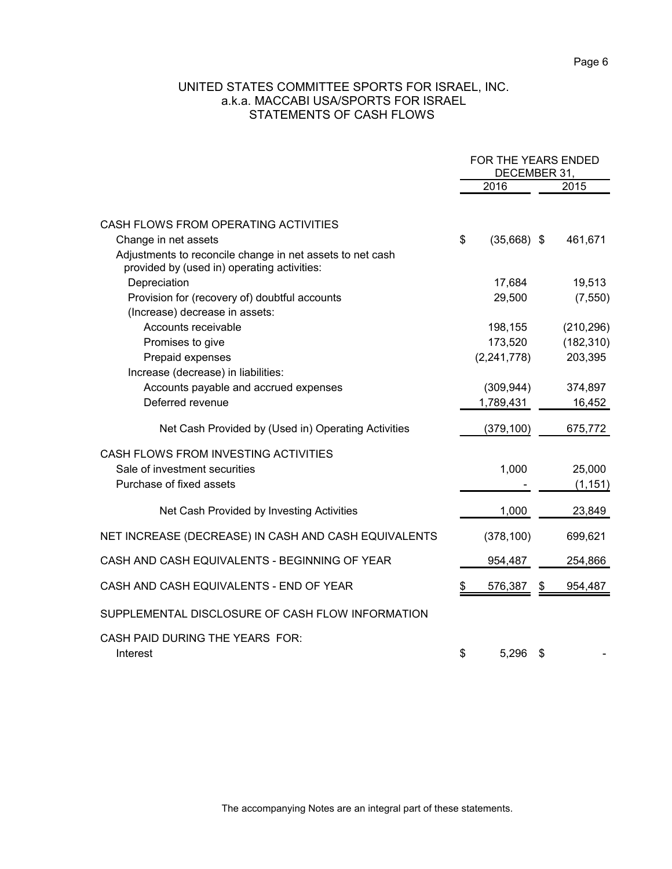# UNITED STATES COMMITTEE SPORTS FOR ISRAEL, INC. a.k.a. MACCABI USA/SPORTS FOR ISRAEL STATEMENTS OF CASH FLOWS

|                                                                                                          | FOR THE YEARS ENDED<br>DECEMBER 31, |               |    |            |
|----------------------------------------------------------------------------------------------------------|-------------------------------------|---------------|----|------------|
|                                                                                                          |                                     | 2016          |    | 2015       |
| CASH FLOWS FROM OPERATING ACTIVITIES                                                                     |                                     |               |    |            |
| Change in net assets                                                                                     | \$                                  | $(35,668)$ \$ |    | 461,671    |
| Adjustments to reconcile change in net assets to net cash<br>provided by (used in) operating activities: |                                     |               |    |            |
| Depreciation                                                                                             |                                     | 17,684        |    | 19,513     |
| Provision for (recovery of) doubtful accounts                                                            |                                     | 29,500        |    | (7, 550)   |
| (Increase) decrease in assets:                                                                           |                                     |               |    |            |
| Accounts receivable                                                                                      |                                     | 198,155       |    | (210, 296) |
| Promises to give                                                                                         |                                     | 173,520       |    | (182, 310) |
| Prepaid expenses                                                                                         |                                     | (2,241,778)   |    | 203,395    |
| Increase (decrease) in liabilities:                                                                      |                                     |               |    |            |
| Accounts payable and accrued expenses                                                                    |                                     | (309, 944)    |    | 374,897    |
| Deferred revenue                                                                                         |                                     | 1,789,431     |    | 16,452     |
| Net Cash Provided by (Used in) Operating Activities                                                      |                                     | (379, 100)    |    | 675,772    |
| CASH FLOWS FROM INVESTING ACTIVITIES                                                                     |                                     |               |    |            |
| Sale of investment securities                                                                            |                                     | 1,000         |    | 25,000     |
| Purchase of fixed assets                                                                                 |                                     |               |    | (1, 151)   |
|                                                                                                          |                                     |               |    |            |
| Net Cash Provided by Investing Activities                                                                |                                     | 1,000         |    | 23,849     |
| NET INCREASE (DECREASE) IN CASH AND CASH EQUIVALENTS                                                     |                                     | (378, 100)    |    | 699,621    |
| CASH AND CASH EQUIVALENTS - BEGINNING OF YEAR                                                            |                                     | 954,487       |    | 254,866    |
| CASH AND CASH EQUIVALENTS - END OF YEAR                                                                  |                                     | 576,387       | \$ | 954,487    |
| SUPPLEMENTAL DISCLOSURE OF CASH FLOW INFORMATION                                                         |                                     |               |    |            |
| CASH PAID DURING THE YEARS FOR:<br>Interest                                                              | \$                                  | 5,296         | S  |            |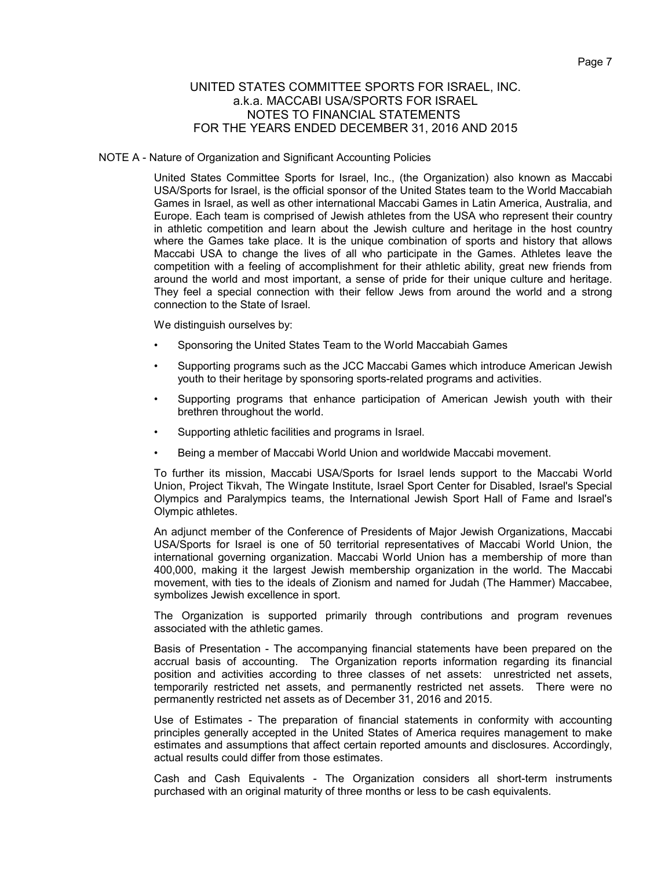#### NOTE A - Nature of Organization and Significant Accounting Policies

United States Committee Sports for Israel, Inc., (the Organization) also known as Maccabi USA/Sports for Israel, is the official sponsor of the United States team to the World Maccabiah Games in Israel, as well as other international Maccabi Games in Latin America, Australia, and Europe. Each team is comprised of Jewish athletes from the USA who represent their country in athletic competition and learn about the Jewish culture and heritage in the host country where the Games take place. It is the unique combination of sports and history that allows Maccabi USA to change the lives of all who participate in the Games. Athletes leave the competition with a feeling of accomplishment for their athletic ability, great new friends from around the world and most important, a sense of pride for their unique culture and heritage. They feel a special connection with their fellow Jews from around the world and a strong connection to the State of Israel.

We distinguish ourselves by:

- Sponsoring the United States Team to the World Maccabiah Games
- Supporting programs such as the JCC Maccabi Games which introduce American Jewish youth to their heritage by sponsoring sports-related programs and activities.
- Supporting programs that enhance participation of American Jewish youth with their brethren throughout the world.
- Supporting athletic facilities and programs in Israel.
- Being a member of Maccabi World Union and worldwide Maccabi movement.

To further its mission, Maccabi USA/Sports for Israel lends support to the Maccabi World Union, Project Tikvah, The Wingate Institute, Israel Sport Center for Disabled, Israel's Special Olympics and Paralympics teams, the International Jewish Sport Hall of Fame and Israel's Olympic athletes.

An adjunct member of the Conference of Presidents of Major Jewish Organizations, Maccabi USA/Sports for Israel is one of 50 territorial representatives of Maccabi World Union, the international governing organization. Maccabi World Union has a membership of more than 400,000, making it the largest Jewish membership organization in the world. The Maccabi movement, with ties to the ideals of Zionism and named for Judah (The Hammer) Maccabee, symbolizes Jewish excellence in sport.

The Organization is supported primarily through contributions and program revenues associated with the athletic games.

Basis of Presentation - The accompanying financial statements have been prepared on the accrual basis of accounting. The Organization reports information regarding its financial position and activities according to three classes of net assets: unrestricted net assets, temporarily restricted net assets, and permanently restricted net assets. There were no permanently restricted net assets as of December 31, 2016 and 2015.

Use of Estimates - The preparation of financial statements in conformity with accounting principles generally accepted in the United States of America requires management to make estimates and assumptions that affect certain reported amounts and disclosures. Accordingly, actual results could differ from those estimates.

Cash and Cash Equivalents - The Organization considers all short-term instruments purchased with an original maturity of three months or less to be cash equivalents.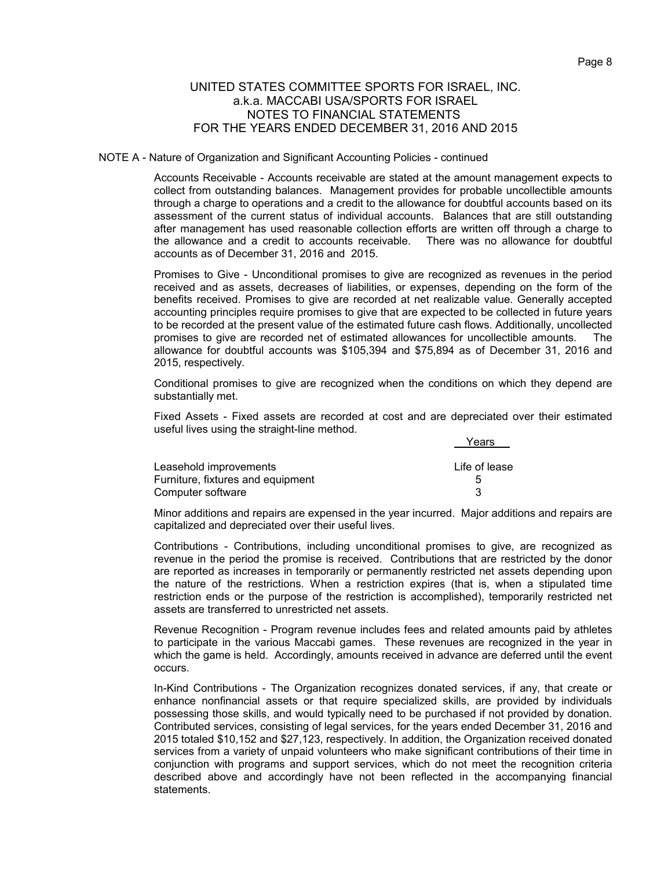#### NOTE A - Nature of Organization and Significant Accounting Policies - continued

Accounts Receivable - Accounts receivable are stated at the amount management expects to collect from outstanding balances. Management provides for probable uncollectible amounts through a charge to operations and a credit to the allowance for doubtful accounts based on its assessment of the current status of individual accounts. Balances that are still outstanding after management has used reasonable collection efforts are written off through a charge to the allowance and a credit to accounts receivable. There was no allowance for doubtful accounts as of December 31, 2016 and 2015.

Promises to Give - Unconditional promises to give are recognized as revenues in the period received and as assets, decreases of liabilities, or expenses, depending on the form of the benefits received. Promises to give are recorded at net realizable value. Generally accepted accounting principles require promises to give that are expected to be collected in future years to be recorded at the present value of the estimated future cash flows. Additionally, uncollected promises to give are recorded net of estimated allowances for uncollectible amounts. The allowance for doubtful accounts was \$105,394 and \$75,894 as of December 31, 2016 and 2015, respectively.

Conditional promises to give are recognized when the conditions on which they depend are substantially met.

Fixed Assets - Fixed assets are recorded at cost and are depreciated over their estimated useful lives using the straight-line method.

**Years** 

| Leasehold improvements            | Life of lease |
|-----------------------------------|---------------|
| Furniture, fixtures and equipment |               |
| Computer software                 |               |

Minor additions and repairs are expensed in the year incurred. Major additions and repairs are capitalized and depreciated over their useful lives.

Contributions - Contributions, including unconditional promises to give, are recognized as revenue in the period the promise is received. Contributions that are restricted by the donor are reported as increases in temporarily or permanently restricted net assets depending upon the nature of the restrictions. When a restriction expires (that is, when a stipulated time restriction ends or the purpose of the restriction is accomplished), temporarily restricted net assets are transferred to unrestricted net assets.

Revenue Recognition - Program revenue includes fees and related amounts paid by athletes to participate in the various Maccabi games. These revenues are recognized in the year in which the game is held. Accordingly, amounts received in advance are deferred until the event occurs.

In-Kind Contributions - The Organization recognizes donated services, if any, that create or enhance nonfinancial assets or that require specialized skills, are provided by individuals possessing those skills, and would typically need to be purchased if not provided by donation. Contributed services, consisting of legal services, for the years ended December 31, 2016 and 2015 totaled \$10,152 and \$27,123, respectively. In addition, the Organization received donated services from a variety of unpaid volunteers who make significant contributions of their time in conjunction with programs and support services, which do not meet the recognition criteria described above and accordingly have not been reflected in the accompanying financial statements.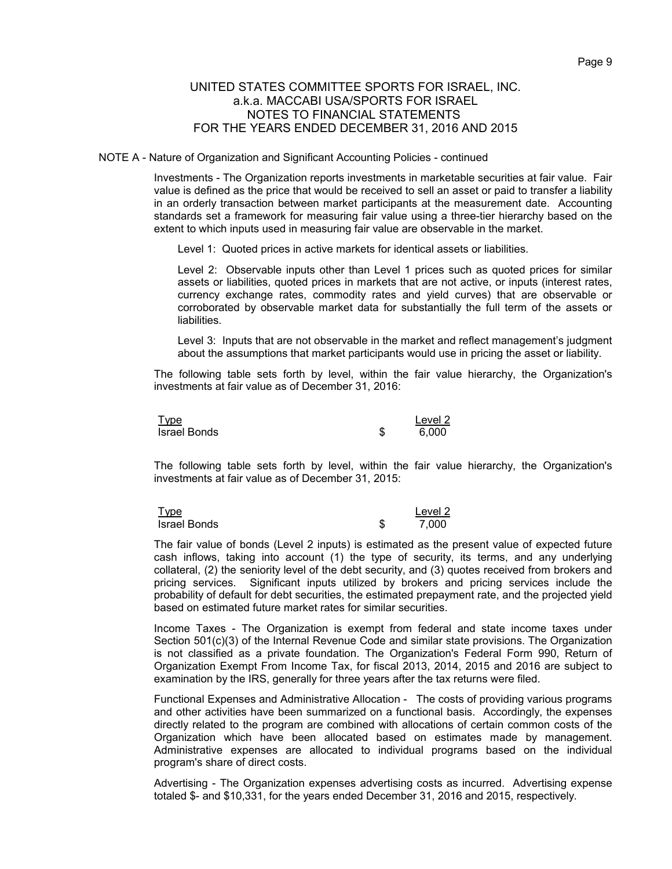#### NOTE A - Nature of Organization and Significant Accounting Policies - continued

Investments - The Organization reports investments in marketable securities at fair value. Fair value is defined as the price that would be received to sell an asset or paid to transfer a liability in an orderly transaction between market participants at the measurement date. Accounting standards set a framework for measuring fair value using a three-tier hierarchy based on the extent to which inputs used in measuring fair value are observable in the market.

Level 1: Quoted prices in active markets for identical assets or liabilities.

Level 2: Observable inputs other than Level 1 prices such as quoted prices for similar assets or liabilities, quoted prices in markets that are not active, or inputs (interest rates, currency exchange rates, commodity rates and yield curves) that are observable or corroborated by observable market data for substantially the full term of the assets or liabilities.

Level 3: Inputs that are not observable in the market and reflect management's judgment about the assumptions that market participants would use in pricing the asset or liability.

The following table sets forth by level, within the fair value hierarchy, the Organization's investments at fair value as of December 31, 2016:

| <b>Type</b>  | Level 2 |
|--------------|---------|
| Israel Bonds | 6.000   |

The following table sets forth by level, within the fair value hierarchy, the Organization's investments at fair value as of December 31, 2015:

| <b>Type</b>         | Level 2 |
|---------------------|---------|
| <b>Israel Bonds</b> | 7.000   |

The fair value of bonds (Level 2 inputs) is estimated as the present value of expected future cash inflows, taking into account (1) the type of security, its terms, and any underlying collateral, (2) the seniority level of the debt security, and (3) quotes received from brokers and pricing services. Significant inputs utilized by brokers and pricing services include the probability of default for debt securities, the estimated prepayment rate, and the projected yield based on estimated future market rates for similar securities.

Income Taxes - The Organization is exempt from federal and state income taxes under Section 501(c)(3) of the Internal Revenue Code and similar state provisions. The Organization is not classified as a private foundation. The Organization's Federal Form 990, Return of Organization Exempt From Income Tax, for fiscal 2013, 2014, 2015 and 2016 are subject to examination by the IRS, generally for three years after the tax returns were filed.

Functional Expenses and Administrative Allocation - The costs of providing various programs and other activities have been summarized on a functional basis. Accordingly, the expenses directly related to the program are combined with allocations of certain common costs of the Organization which have been allocated based on estimates made by management. Administrative expenses are allocated to individual programs based on the individual program's share of direct costs.

Advertising - The Organization expenses advertising costs as incurred. Advertising expense totaled \$- and \$10,331, for the years ended December 31, 2016 and 2015, respectively.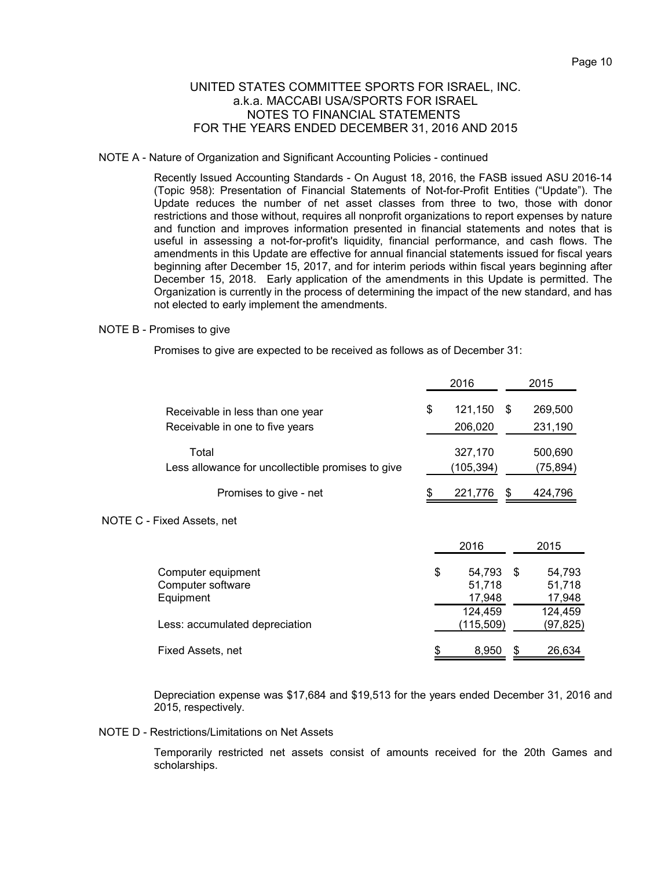### NOTE A - Nature of Organization and Significant Accounting Policies - continued

Recently Issued Accounting Standards - On August 18, 2016, the FASB issued ASU 2016-14 (Topic 958): Presentation of Financial Statements of Not-for-Profit Entities ("Update"). The Update reduces the number of net asset classes from three to two, those with donor restrictions and those without, requires all nonprofit organizations to report expenses by nature and function and improves information presented in financial statements and notes that is useful in assessing a not-for-profit's liquidity, financial performance, and cash flows. The amendments in this Update are effective for annual financial statements issued for fiscal years beginning after December 15, 2017, and for interim periods within fiscal years beginning after December 15, 2018. Early application of the amendments in this Update is permitted. The Organization is currently in the process of determining the impact of the new standard, and has not elected to early implement the amendments.

### NOTE B - Promises to give

Promises to give are expected to be received as follows as of December 31:

|                                                                     | 2016                                        |    | 2015                                  |
|---------------------------------------------------------------------|---------------------------------------------|----|---------------------------------------|
| Receivable in less than one year<br>Receivable in one to five years | \$<br>121,150<br>206,020                    | S. | 269,500<br>231,190                    |
| Total<br>Less allowance for uncollectible promises to give          | 327,170<br>(105,394)                        |    | 500,690<br>(75,894)                   |
| Promises to give - net                                              | <u>221,776</u>                              |    | 424,796                               |
| NOTE C - Fixed Assets, net                                          |                                             |    |                                       |
|                                                                     | 2016                                        |    | 2015                                  |
| Computer equipment<br>Computer software<br>Equipment                | \$<br>54,793<br>51,718<br>17,948<br>124,459 | \$ | 54,793<br>51,718<br>17,948<br>124,459 |
| Less: accumulated depreciation                                      | (115, 509)                                  |    | (97,825)                              |
| Fixed Assets, net                                                   | \$<br>8,950                                 | \$ | 26,634                                |

Depreciation expense was \$17,684 and \$19,513 for the years ended December 31, 2016 and 2015, respectively.

#### NOTE D - Restrictions/Limitations on Net Assets

Temporarily restricted net assets consist of amounts received for the 20th Games and scholarships.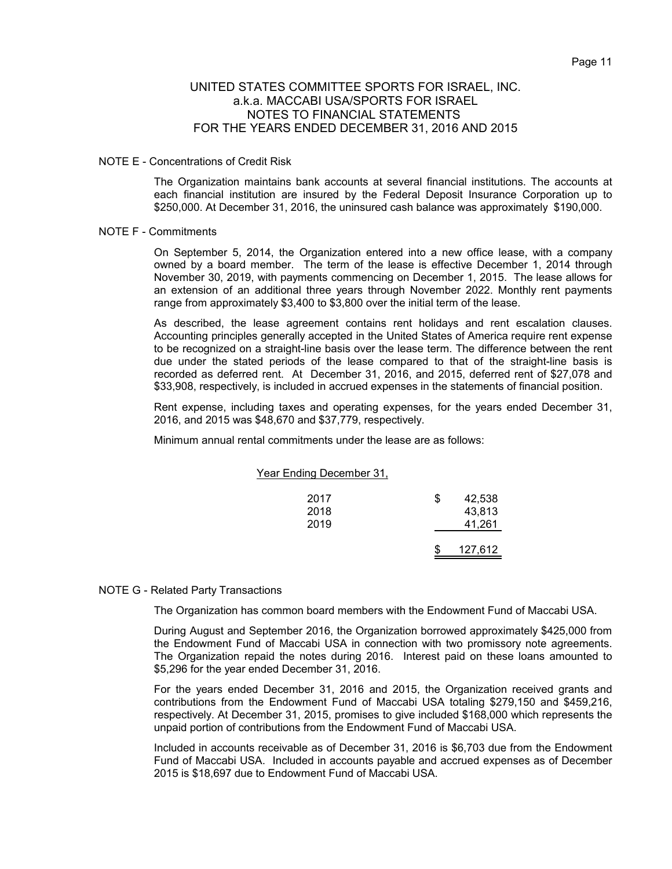#### NOTE E - Concentrations of Credit Risk

The Organization maintains bank accounts at several financial institutions. The accounts at each financial institution are insured by the Federal Deposit Insurance Corporation up to \$250,000. At December 31, 2016, the uninsured cash balance was approximately \$190,000.

#### NOTE F - Commitments

On September 5, 2014, the Organization entered into a new office lease, with a company owned by a board member. The term of the lease is effective December 1, 2014 through November 30, 2019, with payments commencing on December 1, 2015. The lease allows for an extension of an additional three years through November 2022. Monthly rent payments range from approximately \$3,400 to \$3,800 over the initial term of the lease.

As described, the lease agreement contains rent holidays and rent escalation clauses. Accounting principles generally accepted in the United States of America require rent expense to be recognized on a straight-line basis over the lease term. The difference between the rent due under the stated periods of the lease compared to that of the straight-line basis is recorded as deferred rent. At December 31, 2016, and 2015, deferred rent of \$27,078 and \$33,908, respectively, is included in accrued expenses in the statements of financial position.

Rent expense, including taxes and operating expenses, for the years ended December 31, 2016, and 2015 was \$48,670 and \$37,779, respectively.

Minimum annual rental commitments under the lease are as follows:

| Year Ending December 31, |   |         |
|--------------------------|---|---------|
| 2017                     | S | 42,538  |
| 2018                     |   | 43,813  |
| 2019                     |   | 41,261  |
|                          |   |         |
|                          |   | 127,612 |

#### NOTE G - Related Party Transactions

The Organization has common board members with the Endowment Fund of Maccabi USA.

During August and September 2016, the Organization borrowed approximately \$425,000 from the Endowment Fund of Maccabi USA in connection with two promissory note agreements. The Organization repaid the notes during 2016. Interest paid on these loans amounted to \$5,296 for the year ended December 31, 2016.

For the years ended December 31, 2016 and 2015, the Organization received grants and contributions from the Endowment Fund of Maccabi USA totaling \$279,150 and \$459,216, respectively. At December 31, 2015, promises to give included \$168,000 which represents the unpaid portion of contributions from the Endowment Fund of Maccabi USA.

Included in accounts receivable as of December 31, 2016 is \$6,703 due from the Endowment Fund of Maccabi USA. Included in accounts payable and accrued expenses as of December 2015 is \$18,697 due to Endowment Fund of Maccabi USA.